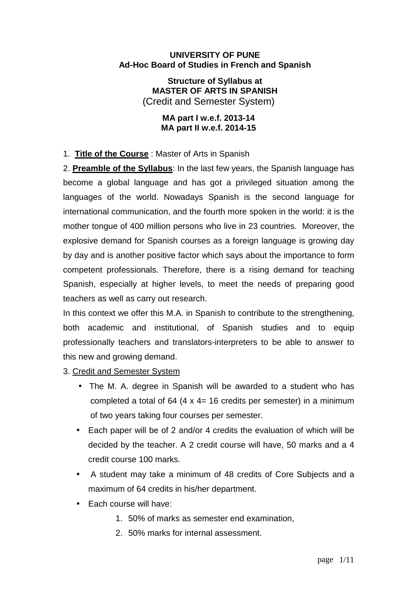#### **UNIVERSITY OF PUNE Ad-Hoc Board of Studies in French and Spanish**

**Structure of Syllabus at MASTER OF ARTS IN SPANISH** (Credit and Semester System)

#### **MA part I w.e.f. 2013-14 MA part II w.e.f. 2014-15**

## 1. **Title of the Course** : Master of Arts in Spanish

2. **Preamble of the Syllabus**: In the last few years, the Spanish language has become a global language and has got a privileged situation among the languages of the world. Nowadays Spanish is the second language for international communication, and the fourth more spoken in the world: it is the mother tongue of 400 million persons who live in 23 countries. Moreover, the explosive demand for Spanish courses as a foreign language is growing day by day and is another positive factor which says about the importance to form competent professionals. Therefore, there is a rising demand for teaching Spanish, especially at higher levels, to meet the needs of preparing good teachers as well as carry out research.

In this context we offer this M.A. in Spanish to contribute to the strengthening, both academic and institutional, of Spanish studies and to equip professionally teachers and translators-interpreters to be able to answer to this new and growing demand.

#### 3. Credit and Semester System

- The M. A. degree in Spanish will be awarded to a student who has completed a total of  $64$  (4 x 4= 16 credits per semester) in a minimum of two years taking four courses per semester.
- Each paper will be of 2 and/or 4 credits the evaluation of which will be decided by the teacher. A 2 credit course will have, 50 marks and a 4 credit course 100 marks.
- A student may take a minimum of 48 credits of Core Subjects and a maximum of 64 credits in his/her department.
- Each course will have:
	- 1. 50% of marks as semester end examination,
	- 2. 50% marks for internal assessment.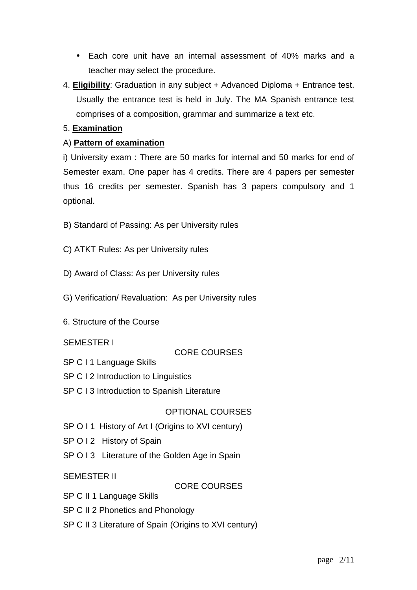- Each core unit have an internal assessment of 40% marks and a teacher may select the procedure.
- 4. **Eligibility**: Graduation in any subject + Advanced Diploma + Entrance test. Usually the entrance test is held in July. The MA Spanish entrance test comprises of a composition, grammar and summarize a text etc.

## 5. **Examination**

## A) **Pattern of examination**

i) University exam : There are 50 marks for internal and 50 marks for end of Semester exam. One paper has 4 credits. There are 4 papers per semester thus 16 credits per semester. Spanish has 3 papers compulsory and 1 optional.

- B) Standard of Passing: As per University rules
- C) ATKT Rules: As per University rules
- D) Award of Class: As per University rules
- G) Verification/ Revaluation: As per University rules
- 6. Structure of the Course

## SEMESTER I

## CORE COURSES

- SP C I 1 Language Skills
- SP C I 2 Introduction to Linguistics
- SP C I 3 Introduction to Spanish Literature

## OPTIONAL COURSES

- SP O I 1 History of Art I (Origins to XVI century)
- SP O I 2 History of Spain
- SP O I 3 Literature of the Golden Age in Spain

SEMESTER II

CORE COURSES

- SP C II 1 Language Skills
- SP C II 2 Phonetics and Phonology
- SP C II 3 Literature of Spain (Origins to XVI century)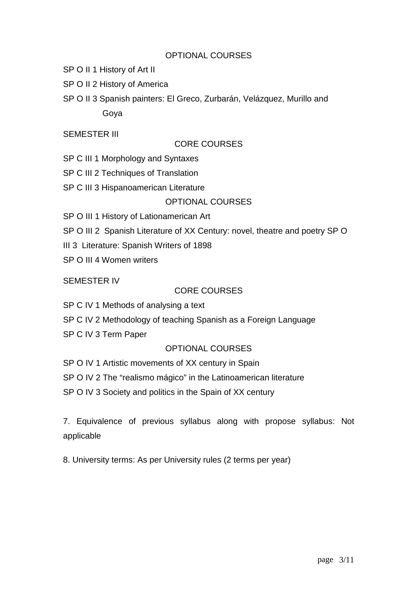## OPTIONAL COURSES

- SP O II 1 History of Art II
- SP O II 2 History of America
- SP O II 3 Spanish painters: El Greco, Zurbarán, Velázquez, Murillo and Goya

#### SEMESTER III

#### CORE COURSES

SP C III 1 Morphology and Syntaxes

- SP C III 2 Techniques of Translation
- SP C III 3 Hispanoamerican Literature

#### OPTIONAL COURSES

- SP O III 1 History of Lationamerican Art
- SP O III 2 Spanish Literature of XX Century: novel, theatre and poetry SP O
- III 3 Literature: Spanish Writers of 1898
- SP O III 4 Women writers

#### SEMESTER IV

#### CORE COURSES

- SP C IV 1 Methods of analysing a text
- SP C IV 2 Methodology of teaching Spanish as a Foreign Language
- SP C IV 3 Term Paper

## OPTIONAL COURSES

SP O IV 1 Artistic movements of XX century in Spain

SP O IV 2 The "realismo mágico" in the Latinoamerican literature

SP O IV 3 Society and politics in the Spain of XX century

7. Equivalence of previous syllabus along with propose syllabus: Not applicable

8. University terms: As per University rules (2 terms per year)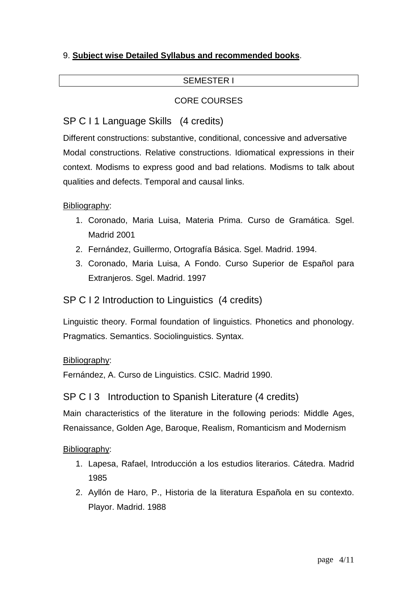# 9. **Subject wise Detailed Syllabus and recommended books**.

## SEMESTER I

## CORE COURSES

# SP C I 1 Language Skills (4 credits)

Different constructions: substantive, conditional, concessive and adversative Modal constructions. Relative constructions. Idiomatical expressions in their context. Modisms to express good and bad relations. Modisms to talk about qualities and defects. Temporal and causal links.

#### Bibliography:

- 1. Coronado, Maria Luisa, Materia Prima. Curso de Gramática. Sgel. Madrid 2001
- 2. Fernández, Guillermo, Ortografía Básica. Sgel. Madrid. 1994.
- 3. Coronado, Maria Luisa, A Fondo. Curso Superior de Español para Extranjeros. Sgel. Madrid. 1997

# SP C I 2 Introduction to Linguistics (4 credits)

Linguistic theory. Formal foundation of linguistics. Phonetics and phonology. Pragmatics. Semantics. Sociolinguistics. Syntax.

#### Bibliography:

Fernández, A. Curso de Linguistics. CSIC. Madrid 1990.

# SP C I 3 Introduction to Spanish Literature (4 credits)

Main characteristics of the literature in the following periods: Middle Ages, Renaissance, Golden Age, Baroque, Realism, Romanticism and Modernism

- 1. Lapesa, Rafael, Introducción a los estudios literarios. Cátedra. Madrid 1985
- 2. Ayllón de Haro, P., Historia de la literatura Española en su contexto. Playor. Madrid. 1988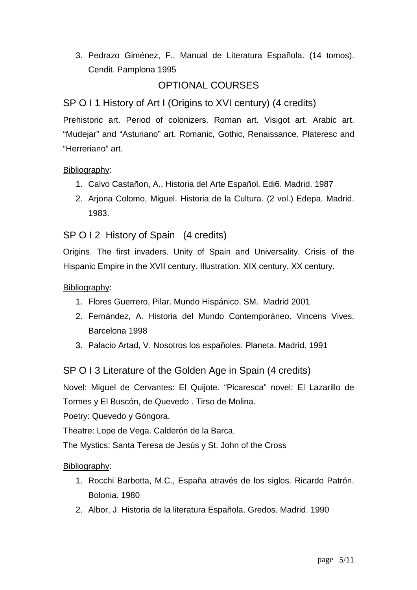3. Pedrazo Giménez, F., Manual de Literatura Española. (14 tomos). Cendit. Pamplona 1995

# OPTIONAL COURSES

# SP O I 1 History of Art I (Origins to XVI century) (4 credits)

Prehistoric art. Period of colonizers. Roman art. Visigot art. Arabic art. "Mudejar" and "Asturiano" art. Romanic, Gothic, Renaissance. Plateresc and "Herreriano" art.

## Bibliography:

- 1. Calvo Castañon, A., Historia del Arte Español. Edi6. Madrid. 1987
- 2. Arjona Colomo, Miguel. Historia de la Cultura. (2 vol.) Edepa. Madrid. 1983.

## SP O I 2 History of Spain (4 credits)

Origins. The first invaders. Unity of Spain and Universality. Crisis of the Hispanic Empire in the XVII century. Illustration. XIX century. XX century.

#### Bibliography:

- 1. Flores Guerrero, Pilar. Mundo Hispánico. SM. Madrid 2001
- 2. Fernández, A. Historia del Mundo Contemporáneo. Vincens Vives. Barcelona 1998
- 3. Palacio Artad, V. Nosotros los españoles. Planeta. Madrid. 1991

SP O I 3 Literature of the Golden Age in Spain (4 credits)

Novel: Miguel de Cervantes: El Quijote. "Picaresca" novel: El Lazarillo de Tormes y El Buscón, de Quevedo . Tirso de Molina.

Poetry: Quevedo y Góngora.

Theatre: Lope de Vega. Calderón de la Barca.

The Mystics: Santa Teresa de Jesús y St. John of the Cross

- 1. Rocchi Barbotta, M.C., España através de los siglos. Ricardo Patrón. Bolonia. 1980
- 2. Albor, J. Historia de la literatura Española. Gredos. Madrid. 1990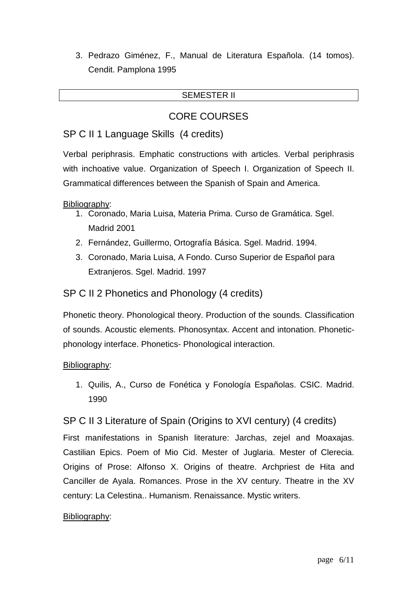3. Pedrazo Giménez, F., Manual de Literatura Española. (14 tomos). Cendit. Pamplona 1995

#### SEMESTER II

# CORE COURSES

# SP C II 1 Language Skills (4 credits)

Verbal periphrasis. Emphatic constructions with articles. Verbal periphrasis with inchoative value. Organization of Speech I. Organization of Speech II. Grammatical differences between the Spanish of Spain and America.

Bibliography:

- 1. Coronado, Maria Luisa, Materia Prima. Curso de Gramática. Sgel. Madrid 2001
- 2. Fernández, Guillermo, Ortografía Básica. Sgel. Madrid. 1994.
- 3. Coronado, Maria Luisa, A Fondo. Curso Superior de Español para Extranjeros. Sgel. Madrid. 1997

# SP C II 2 Phonetics and Phonology (4 credits)

Phonetic theory. Phonological theory. Production of the sounds. Classification of sounds. Acoustic elements. Phonosyntax. Accent and intonation. Phoneticphonology interface. Phonetics- Phonological interaction.

## Bibliography:

1. Quilis, A., Curso de Fonética y Fonología Españolas. CSIC. Madrid. 1990

# SP C II 3 Literature of Spain (Origins to XVI century) (4 credits)

First manifestations in Spanish literature: Jarchas, zejel and Moaxajas. Castilian Epics. Poem of Mio Cid. Mester of Juglaria. Mester of Clerecia. Origins of Prose: Alfonso X. Origins of theatre. Archpriest de Hita and Canciller de Ayala. Romances. Prose in the XV century. Theatre in the XV century: La Celestina.. Humanism. Renaissance. Mystic writers.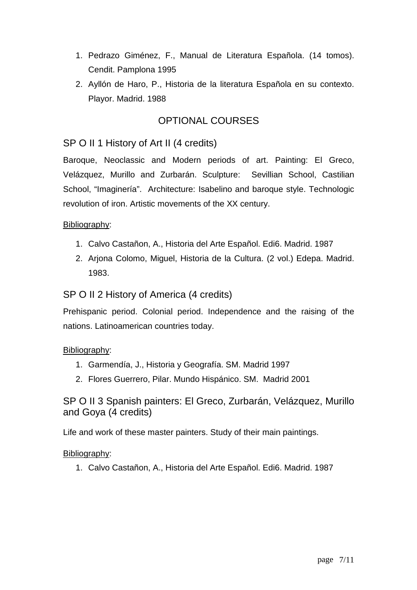- 1. Pedrazo Giménez, F., Manual de Literatura Española. (14 tomos). Cendit. Pamplona 1995
- 2. Ayllón de Haro, P., Historia de la literatura Española en su contexto. Playor. Madrid. 1988

# OPTIONAL COURSES

# SP O II 1 History of Art II (4 credits)

Baroque, Neoclassic and Modern periods of art. Painting: El Greco, Velázquez, Murillo and Zurbarán. Sculpture: Sevillian School, Castilian School, "Imaginería". Architecture: Isabelino and baroque style. Technologic revolution of iron. Artistic movements of the XX century.

#### Bibliography:

- 1. Calvo Castañon, A., Historia del Arte Español. Edi6. Madrid. 1987
- 2. Arjona Colomo, Miguel, Historia de la Cultura. (2 vol.) Edepa. Madrid. 1983.

# SP O II 2 History of America (4 credits)

Prehispanic period. Colonial period. Independence and the raising of the nations. Latinoamerican countries today.

## Bibliography:

- 1. Garmendía, J., Historia y Geografía. SM. Madrid 1997
- 2. Flores Guerrero, Pilar. Mundo Hispánico. SM. Madrid 2001

# SP O II 3 Spanish painters: El Greco, Zurbarán, Velázquez, Murillo and Goya (4 credits)

Life and work of these master painters. Study of their main paintings.

#### Bibliography:

1. Calvo Castañon, A., Historia del Arte Español. Edi6. Madrid. 1987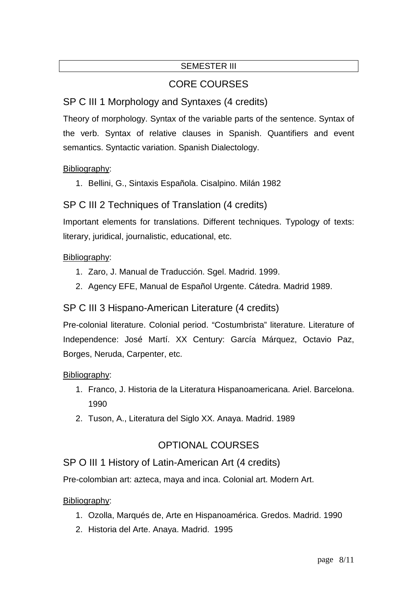# SEMESTER III

# CORE COURSES

# SP C III 1 Morphology and Syntaxes (4 credits)

Theory of morphology. Syntax of the variable parts of the sentence. Syntax of the verb. Syntax of relative clauses in Spanish. Quantifiers and event semantics. Syntactic variation. Spanish Dialectology.

## Bibliography:

İ

1. Bellini, G., Sintaxis Española. Cisalpino. Milán 1982

# SP C III 2 Techniques of Translation (4 credits)

Important elements for translations. Different techniques. Typology of texts: literary, juridical, journalistic, educational, etc.

## Bibliography:

- 1. Zaro, J. Manual de Traducción. Sgel. Madrid. 1999.
- 2. Agency EFE, Manual de Español Urgente. Cátedra. Madrid 1989.

# SP C III 3 Hispano-American Literature (4 credits)

Pre-colonial literature. Colonial period. "Costumbrista" literature. Literature of Independence: José Martí. XX Century: García Márquez, Octavio Paz, Borges, Neruda, Carpenter, etc.

## Bibliography:

- 1. Franco, J. Historia de la Literatura Hispanoamericana. Ariel. Barcelona. 1990
- 2. Tuson, A., Literatura del Siglo XX. Anaya. Madrid. 1989

# OPTIONAL COURSES

# SP O III 1 History of Latin-American Art (4 credits)

Pre-colombian art: azteca, maya and inca. Colonial art. Modern Art.

- 1. Ozolla, Marqués de, Arte en Hispanoamérica. Gredos. Madrid. 1990
- 2. Historia del Arte. Anaya. Madrid. 1995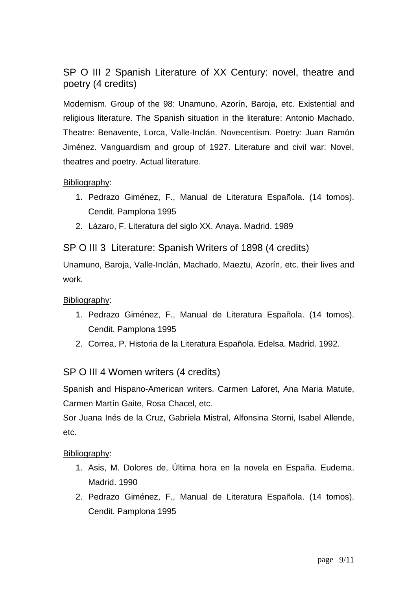SP O III 2 Spanish Literature of XX Century: novel, theatre and poetry (4 credits)

Modernism. Group of the 98: Unamuno, Azorín, Baroja, etc. Existential and religious literature. The Spanish situation in the literature: Antonio Machado. Theatre: Benavente, Lorca, Valle-Inclán. Novecentism. Poetry: Juan Ramón Jiménez. Vanguardism and group of 1927. Literature and civil war: Novel, theatres and poetry. Actual literature.

## Bibliography:

- 1. Pedrazo Giménez, F., Manual de Literatura Española. (14 tomos). Cendit. Pamplona 1995
- 2. Lázaro, F. Literatura del siglo XX. Anaya. Madrid. 1989

SP O III 3 Literature: Spanish Writers of 1898 (4 credits)

Unamuno, Baroja, Valle-Inclán, Machado, Maeztu, Azorín, etc. their lives and work.

#### Bibliography:

- 1. Pedrazo Giménez, F., Manual de Literatura Española. (14 tomos). Cendit. Pamplona 1995
- 2. Correa, P. Historia de la Literatura Española. Edelsa. Madrid. 1992.

## SP O III 4 Women writers (4 credits)

Spanish and Hispano-American writers. Carmen Laforet, Ana Maria Matute, Carmen Martín Gaite, Rosa Chacel, etc.

Sor Juana Inés de la Cruz, Gabriela Mistral, Alfonsina Storni, Isabel Allende, etc.

- 1. Asis, M. Dolores de, Última hora en la novela en España. Eudema. Madrid. 1990
- 2. Pedrazo Giménez, F., Manual de Literatura Española. (14 tomos). Cendit. Pamplona 1995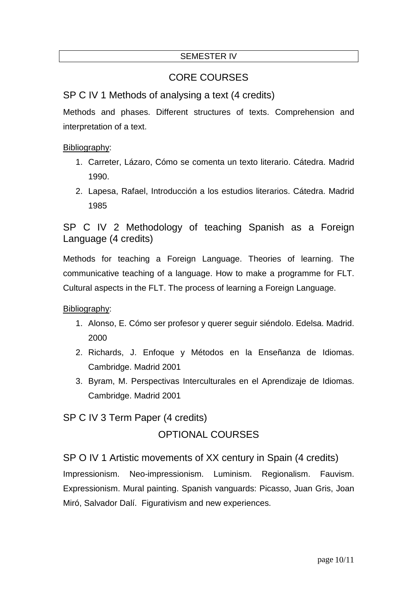## SEMESTER IV

# CORE COURSES

# SP C IV 1 Methods of analysing a text (4 credits)

Methods and phases. Different structures of texts. Comprehension and interpretation of a text.

#### Bibliography:

- 1. Carreter, Lázaro, Cómo se comenta un texto literario. Cátedra. Madrid 1990.
- 2. Lapesa, Rafael, Introducción a los estudios literarios. Cátedra. Madrid 1985

SP C IV 2 Methodology of teaching Spanish as a Foreign Language (4 credits)

Methods for teaching a Foreign Language. Theories of learning. The communicative teaching of a language. How to make a programme for FLT. Cultural aspects in the FLT. The process of learning a Foreign Language.

Bibliography:

- 1. Alonso, E. Cómo ser profesor y querer seguir siéndolo. Edelsa. Madrid. 2000
- 2. Richards, J. Enfoque y Métodos en la Enseñanza de Idiomas. Cambridge. Madrid 2001
- 3. Byram, M. Perspectivas Interculturales en el Aprendizaje de Idiomas. Cambridge. Madrid 2001

SP C IV 3 Term Paper (4 credits)

# OPTIONAL COURSES

SP O IV 1 Artistic movements of XX century in Spain (4 credits) Impressionism. Neo-impressionism. Luminism. Regionalism. Fauvism. Expressionism. Mural painting. Spanish vanguards: Picasso, Juan Gris, Joan Miró, Salvador Dalí. Figurativism and new experiences.